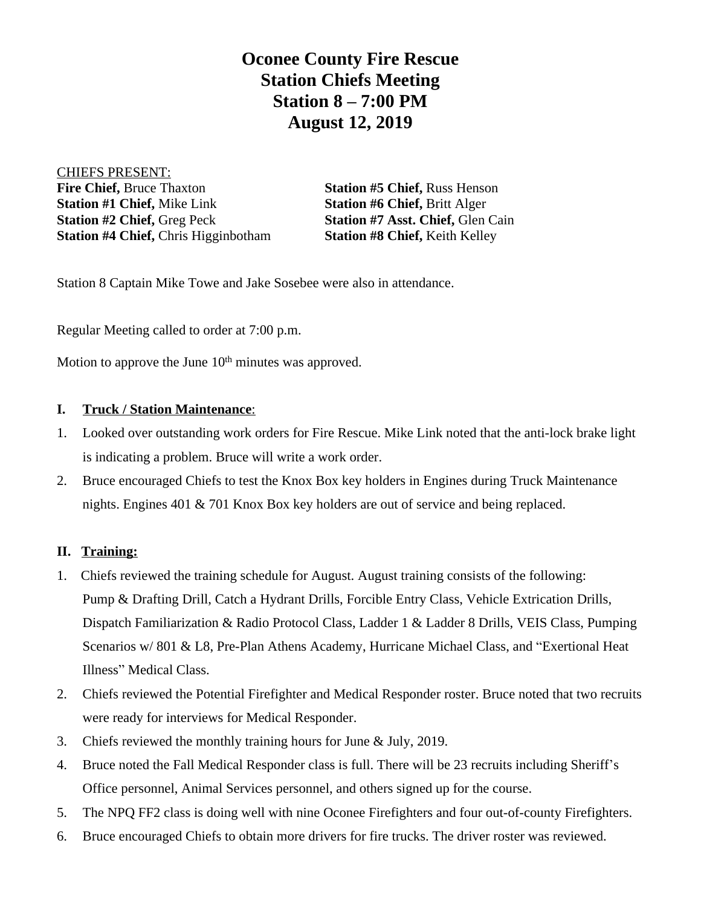**Oconee County Fire Rescue Station Chiefs Meeting Station 8 – 7:00 PM August 12, 2019**

CHIEFS PRESENT: **Fire Chief, Bruce Thaxton Station #5 Chief, Russ Henson Station #1 Chief, Mike Link <b>Station #6 Chief, Britt Alger Station #2 Chief,** Greg Peck **Station #7 Asst. Chief,** Glen Cain **Station #4 Chief,** Chris Higginbotham **Station #8 Chief,** Keith Kelley

Station 8 Captain Mike Towe and Jake Sosebee were also in attendance.

Regular Meeting called to order at 7:00 p.m.

Motion to approve the June  $10<sup>th</sup>$  minutes was approved.

## **I. Truck / Station Maintenance**:

- 1. Looked over outstanding work orders for Fire Rescue. Mike Link noted that the anti-lock brake light is indicating a problem. Bruce will write a work order.
- 2. Bruce encouraged Chiefs to test the Knox Box key holders in Engines during Truck Maintenance nights. Engines 401 & 701 Knox Box key holders are out of service and being replaced.

## **II. Training:**

- 1. Chiefs reviewed the training schedule for August. August training consists of the following: Pump & Drafting Drill, Catch a Hydrant Drills, Forcible Entry Class, Vehicle Extrication Drills, Dispatch Familiarization & Radio Protocol Class, Ladder 1 & Ladder 8 Drills, VEIS Class, Pumping Scenarios w/ 801 & L8, Pre-Plan Athens Academy, Hurricane Michael Class, and "Exertional Heat Illness" Medical Class.
- 2. Chiefs reviewed the Potential Firefighter and Medical Responder roster. Bruce noted that two recruits were ready for interviews for Medical Responder.
- 3. Chiefs reviewed the monthly training hours for June & July, 2019.
- 4. Bruce noted the Fall Medical Responder class is full. There will be 23 recruits including Sheriff's Office personnel, Animal Services personnel, and others signed up for the course.
- 5. The NPQ FF2 class is doing well with nine Oconee Firefighters and four out-of-county Firefighters.
- 6. Bruce encouraged Chiefs to obtain more drivers for fire trucks. The driver roster was reviewed.